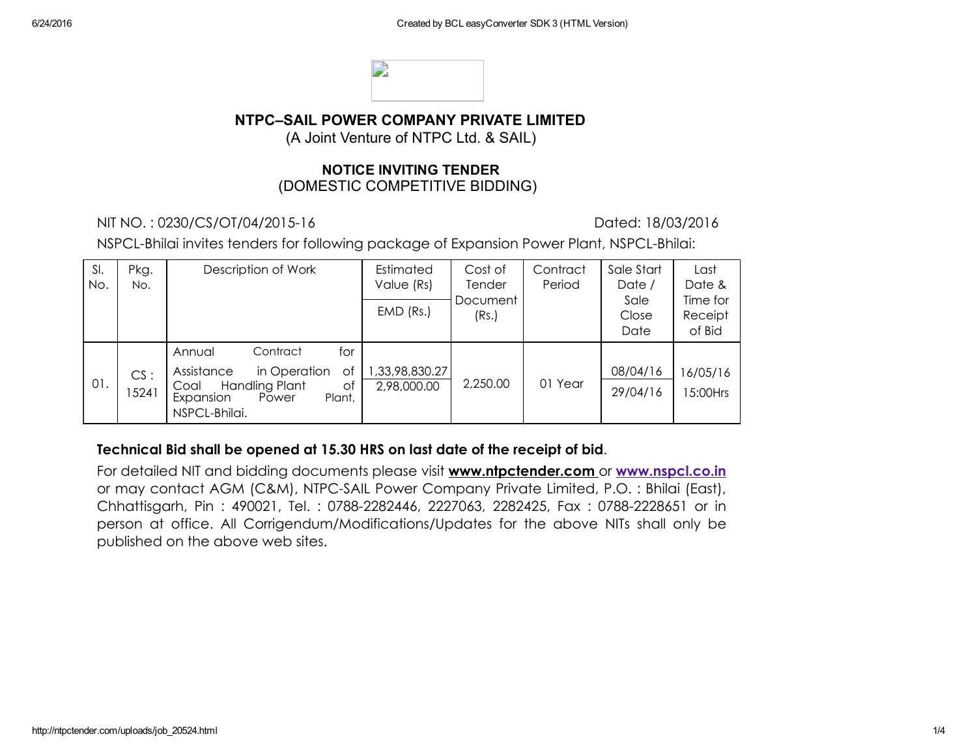

## NTPC–SAIL POWER COMPANY PRIVATE LIMITED

(A Joint Venture of NTPC Ltd. & SAIL)

#### NOTICE INVITING TENDER (DOMESTIC COMPETITIVE BIDDING)

NIT NO. : 0230/CS/OT/04/201516 Dated: 18/03/2016

NSPCL-Bhilai invites tenders for following package of Expansion Power Plant, NSPCL-Bhilai:

| SI.<br>No. | Pkg.<br>No.  | Description of Work                                                                                                                                   | Estimated<br>Value (Rs)       | Cost of<br><b>Tender</b> | Contract<br>Period | Sale Start<br>Date /  | Last<br>Date &                |
|------------|--------------|-------------------------------------------------------------------------------------------------------------------------------------------------------|-------------------------------|--------------------------|--------------------|-----------------------|-------------------------------|
|            |              |                                                                                                                                                       | $EMD$ (Rs.)                   | Document<br>(Rs.)        |                    | Sale<br>Close<br>Date | Time for<br>Receipt<br>of Bid |
| 01.        | CS:<br>15241 | Contract<br>for<br>Annual<br>Assistance<br>in Operation<br>Оf<br><b>Handling Plant</b><br>Оf<br>Coal<br>Expansion<br>Plant,<br>Power<br>NSPCL-Bhilai. | 1,33,98,830.27<br>2,98,000.00 | 2,250.00                 | 01 Year            | 08/04/16<br>29/04/16  | 16/05/16<br>5:00Hrs           |

#### Technical Bid shall be opened at 15.30 HRS on last date of the receipt of bid.

For detailed NIT and bidding documents please visit www.ntpctender.com or [www.nspcl.co.in](http://www.nspcl.co.in/) or may contact AGM (C&M), NTPC-SAIL Power Company Private Limited, P.O. : Bhilai (East), Chhattisgarh, Pin: 490021, Tel.: 0788-2282446, 2227063, 2282425, Fax: 0788-2228651 or in person at office. All Corrigendum/Modifications/Updates for the above NITs shall only be published on the above web sites.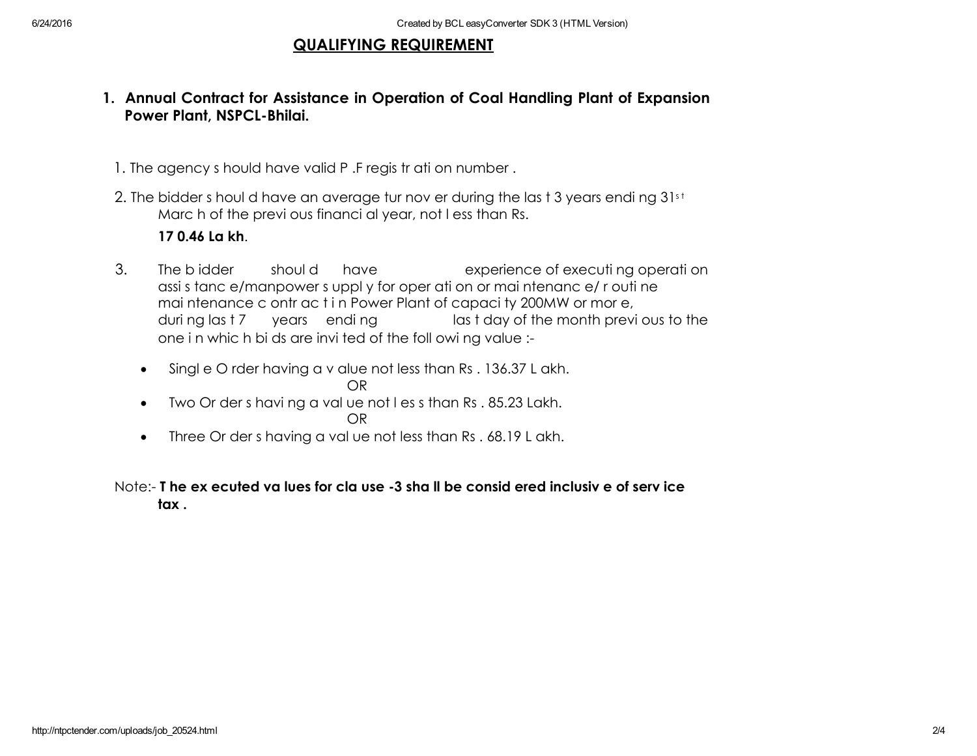### QUALIFYING REQUIREMENT

## 1. Annual Contract for Assistance in Operation of Coal Handling Plant of Expansion Power Plant, NSPCL-Bhilai.

- 1. The agency s hould have valid P .F regis tr ati on number .
- 2. The bidder s houl d have an average tur nov er during the las t 3 years endi ng 31st Marc h of the previ ous financi al year, not l ess than Rs.

# 17 0.46 La kh.

- 3. The b idder shoul d have experience of executi ng operati on assi s tanc e/manpower s uppl y for oper ati on or mai ntenanc e/ r outi ne mai ntenance c ontr ac t i n Power Plant of capaci ty 200MW or mor e, duri ng las t 7 years endi ng last day of the month previ ous to the one in which bids are invited of the foll owing value :-
	- Singl e O rder having a v alue not less than Rs . 136.37 L akh. OR
	- Two Or der s havi ng a val ue not l es s than Rs . 85.23 Lakh. OR
	- Three Or der s having a value not less than Rs . 68.19 L akh.

#### Note: T he ex ecuted va lues for cla use 3 sha ll be consid ered inclusiv e of serv ice tax .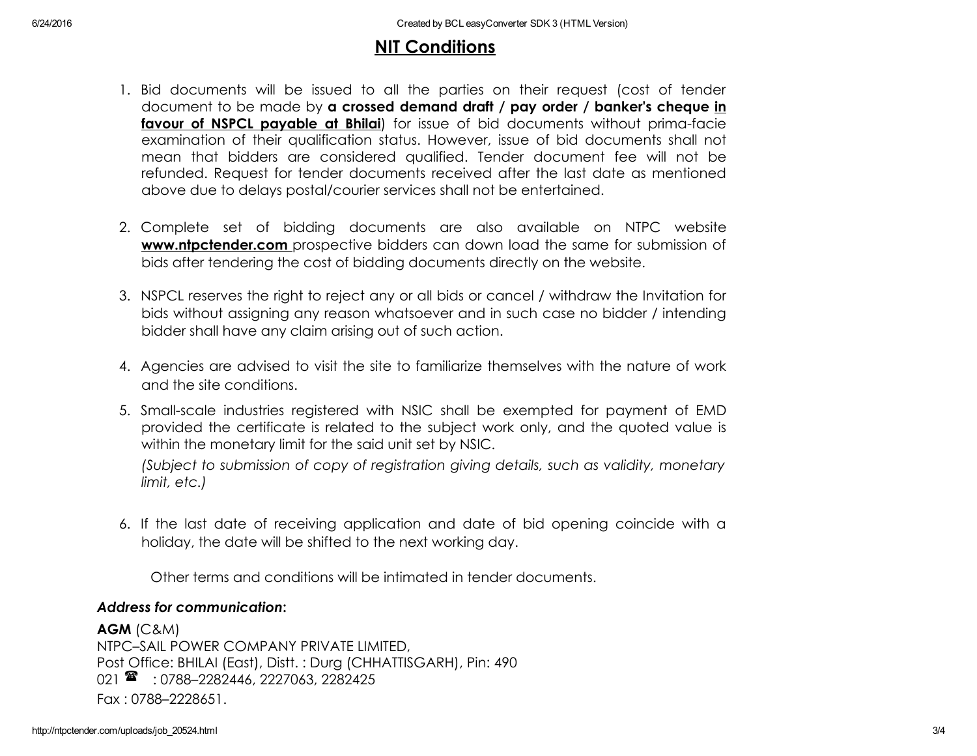# NIT Conditions

- 1. Bid documents will be issued to all the parties on their request (cost of tender document to be made by a crossed demand draft / pay order / banker's cheque in favour of NSPCL payable at Bhilai) for issue of bid documents without prima-facie examination of their qualification status. However, issue of bid documents shall not mean that bidders are considered qualified. Tender document fee will not be refunded. Request for tender documents received after the last date as mentioned above due to delays postal/courier services shall not be entertained.
- 2. Complete set of bidding documents are also available on NTPC website **www.ntpctender.com** prospective bidders can down load the same for submission of bids after tendering the cost of bidding documents directly on the website.
- 3. NSPCL reserves the right to reject any or all bids or cancel / withdraw the Invitation for bids without assigning any reason whatsoever and in such case no bidder / intending bidder shall have any claim arising out of such action.
- 4. Agencies are advised to visit the site to familiarize themselves with the nature of work and the site conditions.
- 5. Smallscale industries registered with NSIC shall be exempted for payment of EMD provided the certificate is related to the subject work only, and the quoted value is within the monetary limit for the said unit set by NSIC.

*(Subject to submission of copy of registration giving details, such as validity, monetary limit, etc.)*

6. If the last date of receiving application and date of bid opening coincide with a holiday, the date will be shifted to the next working day.

Other terms and conditions will be intimated in tender documents.

#### *Address for communication*:

AGM (C&M) NTPC–SAIL POWER COMPANY PRIVATE LIMITED, Post Office: BHILAI (East), Distt. : Durg (CHHATTISGARH), Pin: 490 021  $\rightarrow$  : 0788-2282446, 2227063, 2282425 Fax : 0788–2228651.